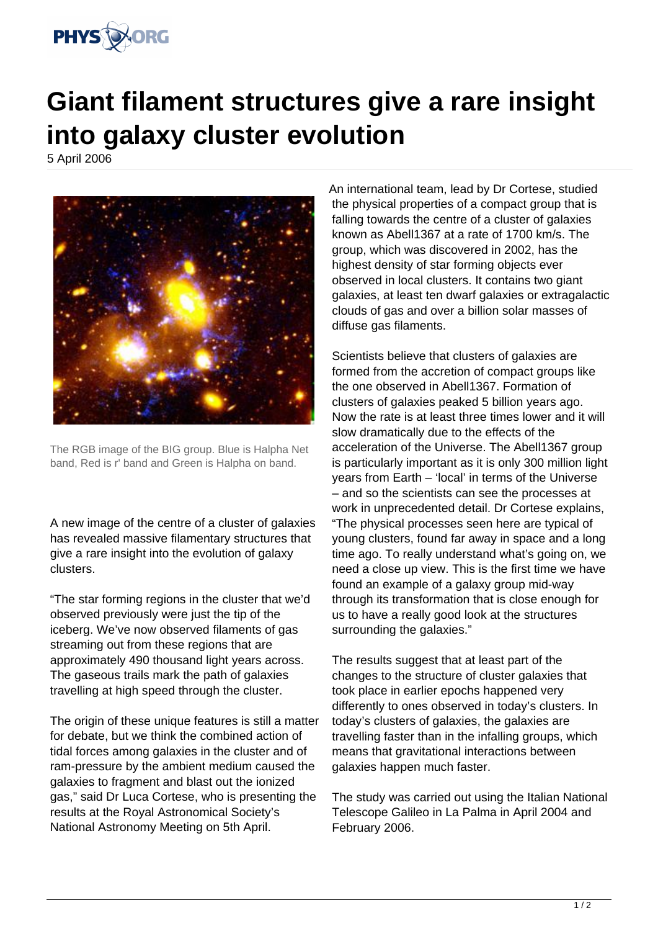

## **Giant filament structures give a rare insight into galaxy cluster evolution**

5 April 2006



The RGB image of the BIG group. Blue is Halpha Net band, Red is r' band and Green is Halpha on band.

A new image of the centre of a cluster of galaxies has revealed massive filamentary structures that give a rare insight into the evolution of galaxy clusters.

"The star forming regions in the cluster that we'd observed previously were just the tip of the iceberg. We've now observed filaments of gas streaming out from these regions that are approximately 490 thousand light years across. The gaseous trails mark the path of galaxies travelling at high speed through the cluster.

The origin of these unique features is still a matter for debate, but we think the combined action of tidal forces among galaxies in the cluster and of ram-pressure by the ambient medium caused the galaxies to fragment and blast out the ionized gas," said Dr Luca Cortese, who is presenting the results at the Royal Astronomical Society's National Astronomy Meeting on 5th April.

An international team, lead by Dr Cortese, studied the physical properties of a compact group that is falling towards the centre of a cluster of galaxies known as Abell1367 at a rate of 1700 km/s. The group, which was discovered in 2002, has the highest density of star forming objects ever observed in local clusters. It contains two giant galaxies, at least ten dwarf galaxies or extragalactic clouds of gas and over a billion solar masses of diffuse gas filaments.

Scientists believe that clusters of galaxies are formed from the accretion of compact groups like the one observed in Abell1367. Formation of clusters of galaxies peaked 5 billion years ago. Now the rate is at least three times lower and it will slow dramatically due to the effects of the acceleration of the Universe. The Abell1367 group is particularly important as it is only 300 million light years from Earth – 'local' in terms of the Universe – and so the scientists can see the processes at work in unprecedented detail. Dr Cortese explains, "The physical processes seen here are typical of young clusters, found far away in space and a long time ago. To really understand what's going on, we need a close up view. This is the first time we have found an example of a galaxy group mid-way through its transformation that is close enough for us to have a really good look at the structures surrounding the galaxies."

The results suggest that at least part of the changes to the structure of cluster galaxies that took place in earlier epochs happened very differently to ones observed in today's clusters. In today's clusters of galaxies, the galaxies are travelling faster than in the infalling groups, which means that gravitational interactions between galaxies happen much faster.

The study was carried out using the Italian National Telescope Galileo in La Palma in April 2004 and February 2006.